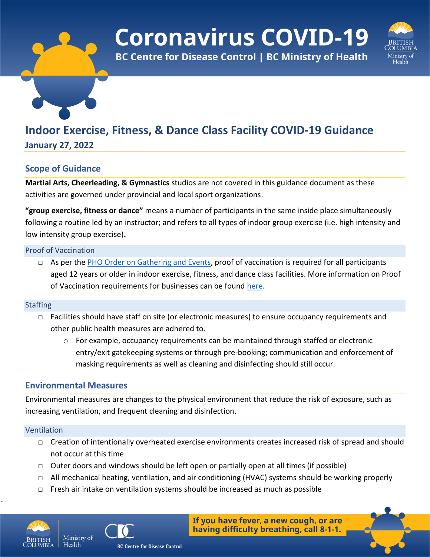# **Coronavirus COVID-19**

**BC Centre for Disease Control | BC Ministry of Health** 



# **Indoor Exercise, Fitness, & Dance Class Facility COVID-19 Guidance**

**January 27, 2022**

# **Scope of Guidance**

**Martial Arts, Cheerleading, & Gymnastics** studios are not covered in this guidance document as these activities are governed under provincial and local sport organizations.

**"group exercise, fitness or dance"** means a number of participants in the same inside place simultaneously following a routine led by an instructor; and refers to all types of indoor group exercise (i.e. high intensity and low intensity group exercise)**.**

# Proof of Vaccination

□ As per the [PHO Order on Gathering and Events,](https://www2.gov.bc.ca/assets/gov/health/about-bc-s-health-care-system/office-of-the-provincial-health-officer/covid-19/covid-19-pho-order-gatherings-events.pdf) proof of vaccination is required for all participants aged 12 years or older in indoor exercise, fitness, and dance class facilities. More information on Proof of Vaccination requirements for businesses can be found [here.](https://www2.gov.bc.ca/gov/content/covid-19/vaccine/proof/businesses)

# **Staffing**

- □ Facilities should have staff on site (or electronic measures) to ensure occupancy requirements and other public health measures are adhered to.
	- $\circ$  For example, occupancy requirements can be maintained through staffed or electronic entry/exit gatekeeping systems or through pre-booking; communication and enforcement of masking requirements as well as cleaning and disinfecting should still occur.

# **Environmental Measures**

Ministry of

Environmental measures are changes to the physical environment that reduce the risk of exposure, such as increasing ventilation, and frequent cleaning and disinfection.

# Ventilation

- □ Creation of intentionally overheated exercise environments creates increased risk of spread and should not occur at this time
- $\Box$  Outer doors and windows should be left open or partially open at all times (if possible)
- $\Box$  All mechanical heating, ventilation, and air conditioning (HVAC) systems should be working properly
- $\Box$  Fresh air intake on ventilation systems should be increased as much as possible



-



If you have fever, a new cough, or are having difficulty breathing, call 8-1-1.

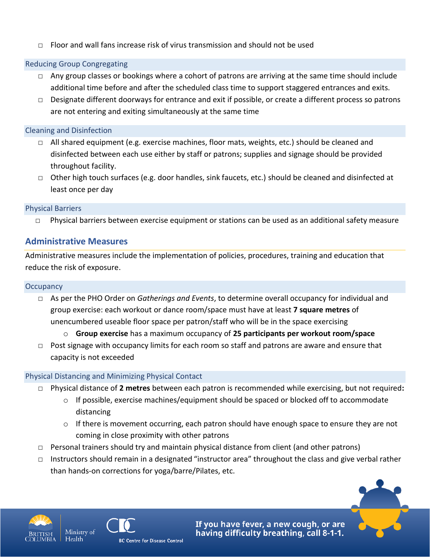$\Box$  Floor and wall fans increase risk of virus transmission and should not be used

# Reducing Group Congregating

- $\Box$  Any group classes or bookings where a cohort of patrons are arriving at the same time should include additional time before and after the scheduled class time to support staggered entrances and exits.
- □ Designate different doorways for entrance and exit if possible, or create a different process so patrons are not entering and exiting simultaneously at the same time

# Cleaning and Disinfection

- □ All shared equipment (e.g. exercise machines, floor mats, weights, etc.) should be cleaned and disinfected between each use either by staff or patrons; supplies and signage should be provided throughout facility.
- □ Other high touch surfaces (e.g. door handles, sink faucets, etc.) should be cleaned and disinfected at least once per day

# Physical Barriers

□ Physical barriers between exercise equipment or stations can be used as an additional safety measure

# **Administrative Measures**

Administrative measures include the implementation of policies, procedures, training and education that reduce the risk of exposure.

# **Occupancy**

- □ As per the PHO Order on *Gatherings and Events*, to determine overall occupancy for individual and group exercise: each workout or dance room/space must have at least **7 square metres** of unencumbered useable floor space per patron/staff who will be in the space exercising
	- o **Group exercise** has a maximum occupancy of **25 participants per workout room/space**
- $\Box$  Post signage with occupancy limits for each room so staff and patrons are aware and ensure that capacity is not exceeded

# Physical Distancing and Minimizing Physical Contact

- □ Physical distance of **2 metres** between each patron is recommended while exercising, but not required**:**
	- $\circ$  If possible, exercise machines/equipment should be spaced or blocked off to accommodate distancing
	- $\circ$  If there is movement occurring, each patron should have enough space to ensure they are not coming in close proximity with other patrons
- □ Personal trainers should try and maintain physical distance from client (and other patrons)
- □ Instructors should remain in a designated "instructor area" throughout the class and give verbal rather than hands-on corrections for yoga/barre/Pilates, etc.





If you have fever, a new cough, or are having difficulty breathing, call 8-1-1.

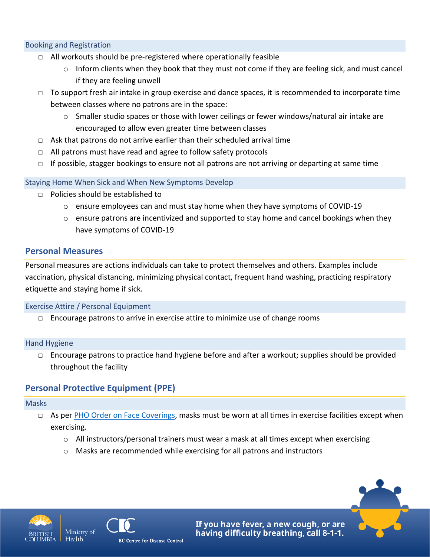#### Booking and Registration

- $\Box$  All workouts should be pre-registered where operationally feasible
	- o Inform clients when they book that they must not come if they are feeling sick, and must cancel if they are feeling unwell
- $\Box$  To support fresh air intake in group exercise and dance spaces, it is recommended to incorporate time between classes where no patrons are in the space:
	- $\circ$  Smaller studio spaces or those with lower ceilings or fewer windows/natural air intake are encouraged to allow even greater time between classes
- □ Ask that patrons do not arrive earlier than their scheduled arrival time
- $\Box$  All patrons must have read and agree to follow safety protocols
- $\Box$  If possible, stagger bookings to ensure not all patrons are not arriving or departing at same time

#### Staying Home When Sick and When New Symptoms Develop

- □ Policies should be established to
	- $\circ$  ensure employees can and must stay home when they have symptoms of COVID-19
	- $\circ$  ensure patrons are incentivized and supported to stay home and cancel bookings when they have symptoms of COVID-19

# **Personal Measures**

Personal measures are actions individuals can take to protect themselves and others. Examples include vaccination, physical distancing, minimizing physical contact, frequent hand washing, practicing respiratory etiquette and staying home if sick.

#### Exercise Attire / Personal Equipment

 $\Box$  Encourage patrons to arrive in exercise attire to minimize use of change rooms

#### Hand Hygiene

 $\Box$  Encourage patrons to practice hand hygiene before and after a workout; supplies should be provided throughout the facility

# **Personal Protective Equipment (PPE)**

#### Masks

- $\Box$  As per [PHO Order on Face Coverings,](https://www2.gov.bc.ca/assets/gov/health/about-bc-s-health-care-system/office-of-the-provincial-health-officer/covid-19/covid-19-pho-order-face-coverings.pdf) masks must be worn at all times in exercise facilities except when exercising.
	- o All instructors/personal trainers must wear a mask at all times except when exercising
	- o Masks are recommended while exercising for all patrons and instructors



Health



If you have fever, a new cough, or are having difficulty breathing, call 8-1-1.